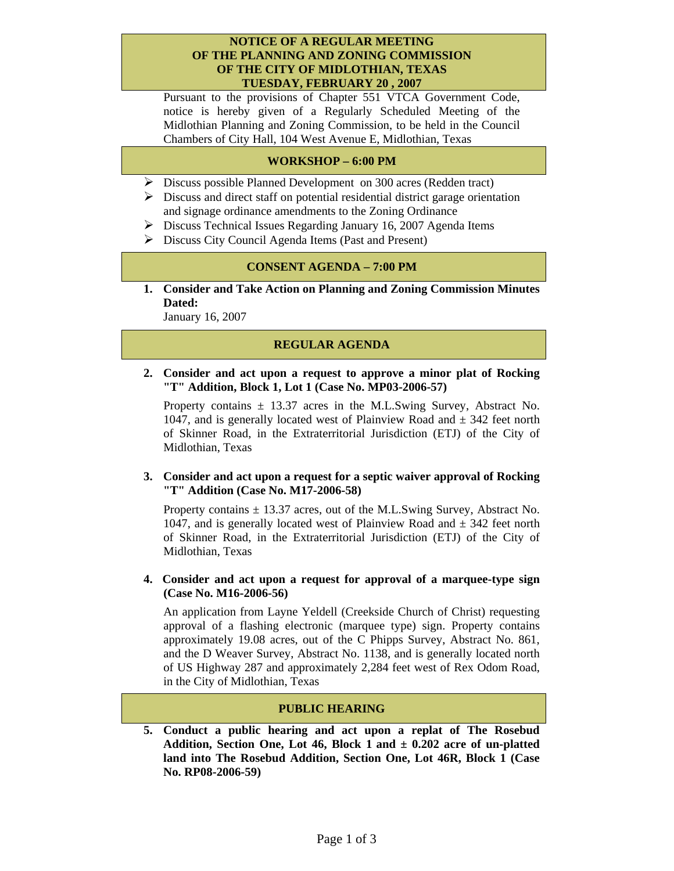#### **NOTICE OF A REGULAR MEETING OF THE PLANNING AND ZONING COMMISSION OF THE CITY OF MIDLOTHIAN, TEXAS TUESDAY, FEBRUARY 20 , 2007**

Pursuant to the provisions of Chapter 551 VTCA Government Code, notice is hereby given of a Regularly Scheduled Meeting of the Midlothian Planning and Zoning Commission, to be held in the Council Chambers of City Hall, 104 West Avenue E, Midlothian, Texas

# **WORKSHOP – 6:00 PM**

- ¾ Discuss possible Planned Development on 300 acres (Redden tract)
- $\triangleright$  Discuss and direct staff on potential residential district garage orientation and signage ordinance amendments to the Zoning Ordinance
- $\triangleright$  Discuss Technical Issues Regarding January 16, 2007 Agenda Items
- $\triangleright$  Discuss City Council Agenda Items (Past and Present)

#### **CONSENT AGENDA – 7:00 PM**

**1. Consider and Take Action on Planning and Zoning Commission Minutes Dated:** 

January 16, 2007

# **REGULAR AGENDA**

**2. Consider and act upon a request to approve a minor plat of Rocking "T" Addition, Block 1, Lot 1 (Case No. MP03-2006-57)** 

Property contains  $\pm$  13.37 acres in the M.L.Swing Survey, Abstract No. 1047, and is generally located west of Plainview Road and  $\pm$  342 feet north of Skinner Road, in the Extraterritorial Jurisdiction (ETJ) of the City of Midlothian, Texas

#### **3. Consider and act upon a request for a septic waiver approval of Rocking "T" Addition (Case No. M17-2006-58)**

Property contains  $\pm$  13.37 acres, out of the M.L.Swing Survey, Abstract No. 1047, and is generally located west of Plainview Road and  $\pm$  342 feet north of Skinner Road, in the Extraterritorial Jurisdiction (ETJ) of the City of Midlothian, Texas

### **4. Consider and act upon a request for approval of a marquee-type sign (Case No. M16-2006-56)**

An application from Layne Yeldell (Creekside Church of Christ) requesting approval of a flashing electronic (marquee type) sign. Property contains approximately 19.08 acres, out of the C Phipps Survey, Abstract No. 861, and the D Weaver Survey, Abstract No. 1138, and is generally located north of US Highway 287 and approximately 2,284 feet west of Rex Odom Road, in the City of Midlothian, Texas

### **PUBLIC HEARING**

**5. Conduct a public hearing and act upon a replat of The Rosebud Addition, Section One, Lot 46, Block 1 and ± 0.202 acre of un-platted land into The Rosebud Addition, Section One, Lot 46R, Block 1 (Case No. RP08-2006-59)**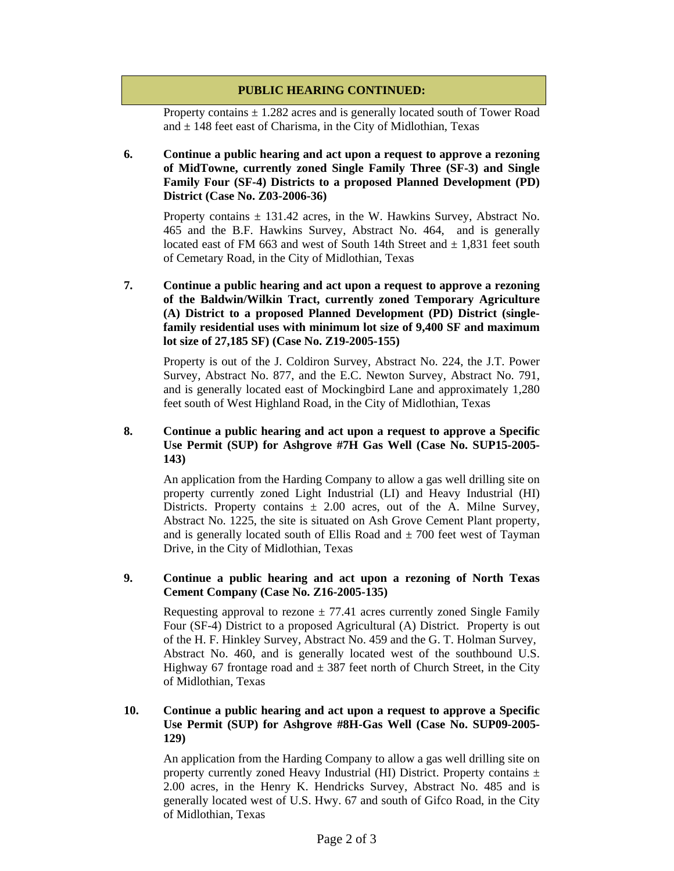# **PUBLIC HEARING CONTINUED:**

Property contains  $\pm$  1.282 acres and is generally located south of Tower Road and  $\pm$  148 feet east of Charisma, in the City of Midlothian, Texas

### **6. Continue a public hearing and act upon a request to approve a rezoning of MidTowne, currently zoned Single Family Three (SF-3) and Single Family Four (SF-4) Districts to a proposed Planned Development (PD) District (Case No. Z03-2006-36)**

Property contains  $\pm$  131.42 acres, in the W. Hawkins Survey, Abstract No. 465 and the B.F. Hawkins Survey, Abstract No. 464, and is generally located east of FM 663 and west of South 14th Street and  $\pm$  1,831 feet south of Cemetary Road, in the City of Midlothian, Texas

## **7. Continue a public hearing and act upon a request to approve a rezoning of the Baldwin/Wilkin Tract, currently zoned Temporary Agriculture (A) District to a proposed Planned Development (PD) District (singlefamily residential uses with minimum lot size of 9,400 SF and maximum lot size of 27,185 SF) (Case No. Z19-2005-155)**

Property is out of the J. Coldiron Survey, Abstract No. 224, the J.T. Power Survey, Abstract No. 877, and the E.C. Newton Survey, Abstract No. 791, and is generally located east of Mockingbird Lane and approximately 1,280 feet south of West Highland Road, in the City of Midlothian, Texas

## **8. Continue a public hearing and act upon a request to approve a Specific Use Permit (SUP) for Ashgrove #7H Gas Well (Case No. SUP15-2005- 143)**

An application from the Harding Company to allow a gas well drilling site on property currently zoned Light Industrial (LI) and Heavy Industrial (HI) Districts. Property contains  $\pm$  2.00 acres, out of the A. Milne Survey, Abstract No. 1225, the site is situated on Ash Grove Cement Plant property, and is generally located south of Ellis Road and  $\pm$  700 feet west of Tayman Drive, in the City of Midlothian, Texas

### **9. Continue a public hearing and act upon a rezoning of North Texas Cement Company (Case No. Z16-2005-135)**

Requesting approval to rezone  $\pm$  77.41 acres currently zoned Single Family Four (SF-4) District to a proposed Agricultural (A) District. Property is out of the H. F. Hinkley Survey, Abstract No. 459 and the G. T. Holman Survey, Abstract No. 460, and is generally located west of the southbound U.S. Highway 67 frontage road and  $\pm$  387 feet north of Church Street, in the City of Midlothian, Texas

## **10. Continue a public hearing and act upon a request to approve a Specific Use Permit (SUP) for Ashgrove #8H-Gas Well (Case No. SUP09-2005- 129)**

An application from the Harding Company to allow a gas well drilling site on property currently zoned Heavy Industrial (HI) District. Property contains  $\pm$ 2.00 acres, in the Henry K. Hendricks Survey, Abstract No. 485 and is generally located west of U.S. Hwy. 67 and south of Gifco Road, in the City of Midlothian, Texas